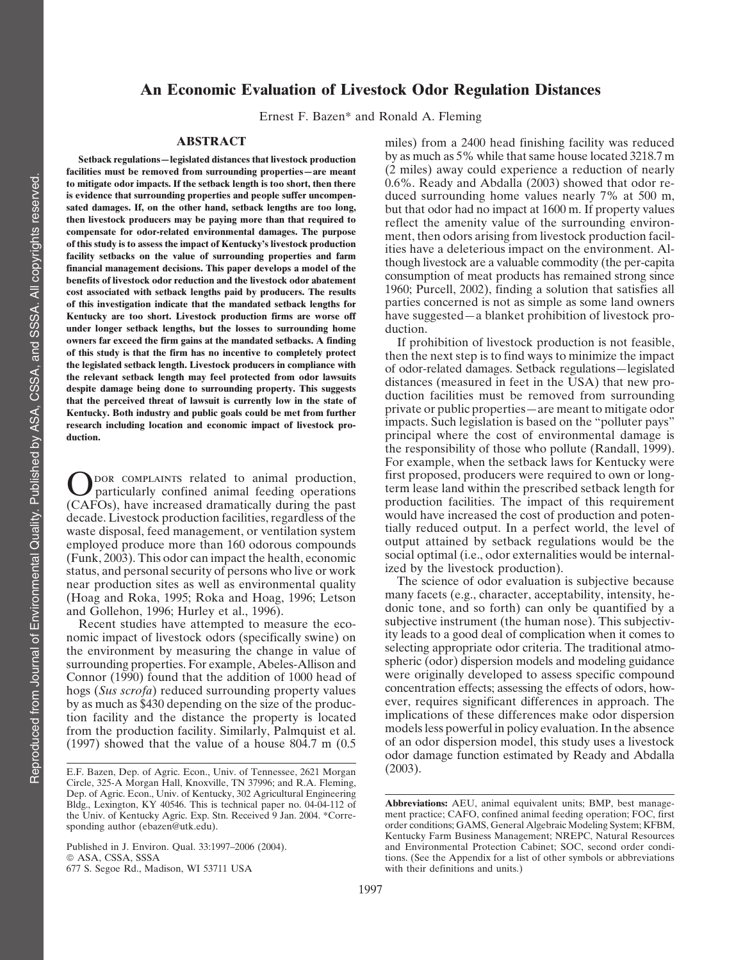Ernest F. Bazen\* and Ronald A. Fleming

facilities must be removed from surrounding properties—are meant **under longer setback lengths, but the losses to surrounding home** duction.<br> **owners far exceed the firm gains at the mandated setbacks. A finding** If pro **owners far exceed the firm gains at the mandated setbacks. A finding** If prohibition of livestock production is not feasible, of this study is that the firm has no incentive to completely protect then the next step is to

particularly confined animal feeding operations (Funk, 2003). This odor can impact the health, economic social optimal (i.e., odor externalities would be internal-<br>status, and personal security of persons who live or work ized by the livestock production).<br>near producti

nomic impact of livestock odors (specifically swine) on ity leads to a good deal of complication when it comes to<br>the environment by measuring the change in value of selecting appropriate odor criteria. The traditional atm the environment by measuring the change in value of selecting appropriate odor criteria. The traditional atmo-<br>surrounding properties For example Abeles-Allison and spheric (odor) dispersion models and modeling guidance surrounding properties. For example, Abeles-Allison and spheric (odor) dispersion models and modeling guidance<br>Connor (1990) found that the addition of 1000 head of were originally developed to assess specific compound Connor (1990) found that the addition of 1000 head of were originally developed to assess specific compound<br>hose (Sus scrofa) reduced surrounding property values concentration effects; assessing the effects of odors, howhogs (*Sus scrofa*) reduced surrounding property values concentration effects; assessing the effects of odors, how-<br>by as much as \$430 depending on the size of the produc-<br>ever, requires significant differences in approach by as much as \$430 depending on the size of the produc-<br>tion facility and the distance the property is located implications of these differences make odor dispersion tion facility and the distance the property is located implications of these differences make odor dispersion<br>from the production facility. Similarly, Palmonist et al. models less powerful in policy evaluation. In the abse from the production facility. Similarly, Palmquist et al. models less powerful in policy evaluation. In the absence  $(1997)$  showed that the value of a house  $804.7 \text{ m}$  (0.5 of an odor dispersion model, this study uses (1997) showed that the value of a house  $804.7 \text{ m}$  (0.5)

677 S. Segoe Rd., Madison, WI 53711 USA with their definitions and units.)

**ABSTRACT** miles) from a 2400 head finishing facility was reduced<br>by as much as 5% while that same house located 3218.7 m **Setback regulations—legislated distances that livestock production** by as much as 5% while that same house located 3218.7 m<br>ilities must be removed from surrounding properties—are meant (2 miles) away could experience a r **to mitigate odor impacts. If the setback length is too short, then there** 0.6%. Ready and Abdalla (2003) showed that odor re**is evidence that surrounding properties and people suffer uncompen-** duced surrounding home values nearly 7% at 500 m, sated damages. If, on the other hand, setback lengths are too long, but that odor had no impact at 160 **sated damages. If, on the other hand, setback lengths are too long,** but that odor had no impact at 1600 m. If property values then livestock producers may be paying more than that required to reflect the amenity value of then livestock producers may be paying more than that required to<br>
compensate for odor-related environmental damages. The purpose<br>
of this study is to assess the impact of Kentucky's livestock production<br>
facility setbacks benefits of livestock odor reduction and the livestock odor abatement<br>cost associated with setback lengths paid by producers. The results and the cost associated with setback lengths paid by producers. The results and the **of this investigation indicate that the mandated setback lengths for** parties concerned is not as simple as some land owners **Kentucky are too short. Livestock production firms are worse off** have suggested—a blanket prohibition of livestock pro-

of this study is that the firm has no incentive to completely protect<br>then the next step is to find ways to minimize the impact<br>the legislated setback length may feel protected from odor lawsuits<br>despite damage being done **Kentucky. Both industry and public goals could be met from further** private or public properties—are meant to mitigate odor **research including location and economic impact of livestock pro-** impacts. Such legislation is based on the "polluter pays" duction. **principal where the cost of environmental damage is** principal where the cost of environmental damage is the responsibility of those who pollute (Randall, 1999). For example, when the setback laws for Kentucky were FIRE THE PROSED FOR COMPLAINTS related to animal production, first proposed, producers were required to own or long-<br>term lease land within the prescribed setback length for<br>FOS) have increased dramatically during the past (CAFOs), have increased dramatically during the past production facilities. The impact of this requirement decade I ivestock production facilities regardless of the would have increased the cost of production and potendecade. Livestock production facilities, regardless of the would have increased the cost of production and poten-<br>waste disposal, feed management, or ventilation system lially reduced output. In a perfect world, the level waste disposal, feed management, or ventilation system tially reduced output. In a perfect world, the level of employed produce more than 160 odorous compounds output attained by setback regulations would be the

near production sites as well as environmental quality<br>(Hoag and Roka 1995; Roka and Hoag 1996; Letson many facets (e.g., character, acceptability, intensity, he-(Hoag and Roka, 1995; Roka and Hoag, 1996; Letson many facets (e.g., character, acceptability, intensity, he-<br>and Gollehon, 1996; Hurley et al., 1996).<br>Recent studies have attempted to measure the eco-<br>subjective instrumen Recent studies have attempted to measure the eco-<br>negative instrument (the human nose). This subjective<br>ity leads to a good deal of complication when it comes to odor damage function estimated by Ready and Abdalla

E.F. Bazen, Dep. of Agric. Econ., Univ. of Tennessee, 2621 Morgan (2003). Circle, 325-A Morgan Hall, Knoxville, TN 37996; and R.A. Fleming, Dep. of Agric. Econ., Univ. of Kentucky, 302 Agricultural Engineering Bldg., Lexington, KY 40546. This is technical paper no. 04-04-112 of **Abbreviations:** AEU, animal equivalent units; BMP, best manage-<br>the Univ. of Kentucky Agric. Exp. Stn. Received 9 Jan. 2004. \*Corre- ment practice; CAFO

the Univ. of Kentucky Agric. Exp. Stn. Received 9 Jan. 2004. \*Corre- ment practice; CAFO, confined animal feeding operation; FOC, first order conditions; GAMS, General Algebraic Modeling System; KFBM, order conditions; GAMS, General Algebraic Modeling System; KFBM, Kentucky Farm Business Management; NREPC, Natural Resources Published in J. Environ. Qual. 33:1997–2006 (2004). and Environmental Protection Cabinet; SOC, second order condi-<br>
© ASA, CSSA, SSSA (SSSA), SSSA (SSSA), SSSA (SSSA), SSSA (SSSA), SSSA (SSSA), SSSA (SSSA), SSSA (SSSA), SS tions. (See the Appendix for a list of other symbols or abbreviations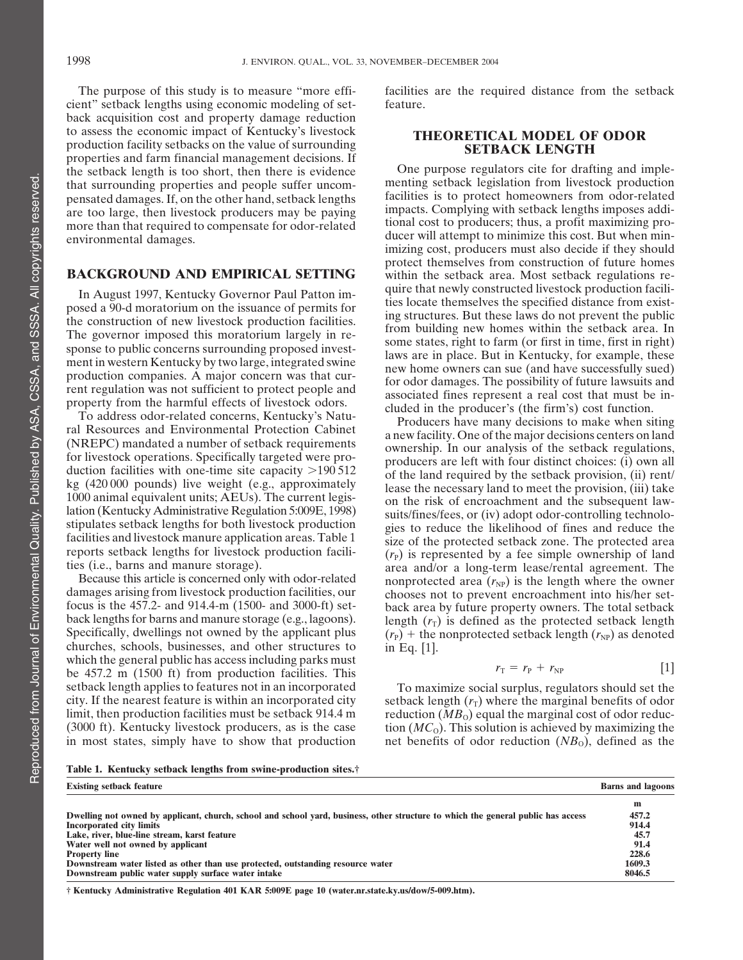The purpose of this study is to measure "more effi- facilities are the required distance from the setback cient" setback lengths using economic modeling of set- feature. back acquisition cost and property damage reduction to assess the economic impact of Kentucky's livestock<br>
production facility setbacks on the value of surrounding<br>
properties and farm financial management decisions. If<br>
the setback length is too short, then there is eviden more than that required to compensate for odor-related

Specifically, dwellings not owned by the applicant plus churches, schools, businesses, and other structures to in Eq.  $[1]$ . which the general public has access including parks must be 457.2 m (1500 ft) from production facilities. This setback length applies to features not in an incorporated To maximize social surplus, regulators should set the city. If the nearest feature is within an incorporated city setback length  $(r<sub>r</sub>)$  where the marginal benef city. If the nearest feature is within an incorporated city setback length  $(r_T)$  where the marginal benefits of odor reduc-<br>limit, then production facilities must be setback 914.4 m reduction  $(MB_0)$  equal the marginal co (3000 ft). Kentucky livestock producers, as is the case in most states, simply have to show that production

that surrounding properties and people suffer uncom-<br>nensated damages If on the other hand setback lengths facilities is to protect homeowners from odor-related pensated damages. If, on the other hand, setback lengths facilities is to protect homeowners from odor-related<br>Facilities is to protect homeowners from odor-related impacts. Complying with setback lengths imposes addiare too large, then livestock producers may be paying impacts. Complying with setback lengths imposes addi-<br>more than that required to compensate for odor-related tional cost to producers; thus, a profit maximizing proenvironmental damages.<br>imizing cost, producers must also decide if they should<br>imizing cost, producers must also decide if they should protect themselves from construction of future homes **BACKGROUND AND EMPIRICAL SETTING** within the setback area. Most setback regulations re-

In August 1997, Kentucky Governor Paul Patton im-<br>
quire that newly constructed livestock production facilities.<br>
The absance of permits for the issues and the control of neulis of the control of neulis the control of new  $(r_{\rm P})$  + the nonprotected setback length  $(r_{\rm NP})$  as denoted

$$
r_{\rm T} = r_{\rm P} + r_{\rm NP} \tag{1}
$$

reduction  $(MB_0)$  equal the marginal cost of odor reduction  $(MC_0)$ . This solution is achieved by maximizing the net benefits of odor reduction (*NB*<sub>0</sub>), defined as the

| Table 1. Kentucky setback lengths from swine-production sites.† |  |  |  |
|-----------------------------------------------------------------|--|--|--|
|-----------------------------------------------------------------|--|--|--|

| <b>Existing setback feature</b>                                                                                                   | <b>Barns and lagoons</b> |
|-----------------------------------------------------------------------------------------------------------------------------------|--------------------------|
|                                                                                                                                   | m                        |
| Dwelling not owned by applicant, church, school and school yard, business, other structure to which the general public has access | 457.2                    |
| <b>Incorporated city limits</b>                                                                                                   | 914.4                    |
| Lake, river, blue-line stream, karst feature                                                                                      | 45.7                     |
| Water well not owned by applicant                                                                                                 | 91.4                     |
| <b>Property line</b>                                                                                                              | 228.6                    |
| Downstream water listed as other than use protected, outstanding resource water                                                   | 1609.3                   |
| Downstream public water supply surface water intake                                                                               | 8046.5                   |

**† Kentucky Administrative Regulation 401 KAR 5:009E page 10 (water.nr.state.ky.us/dow/5-009.htm).**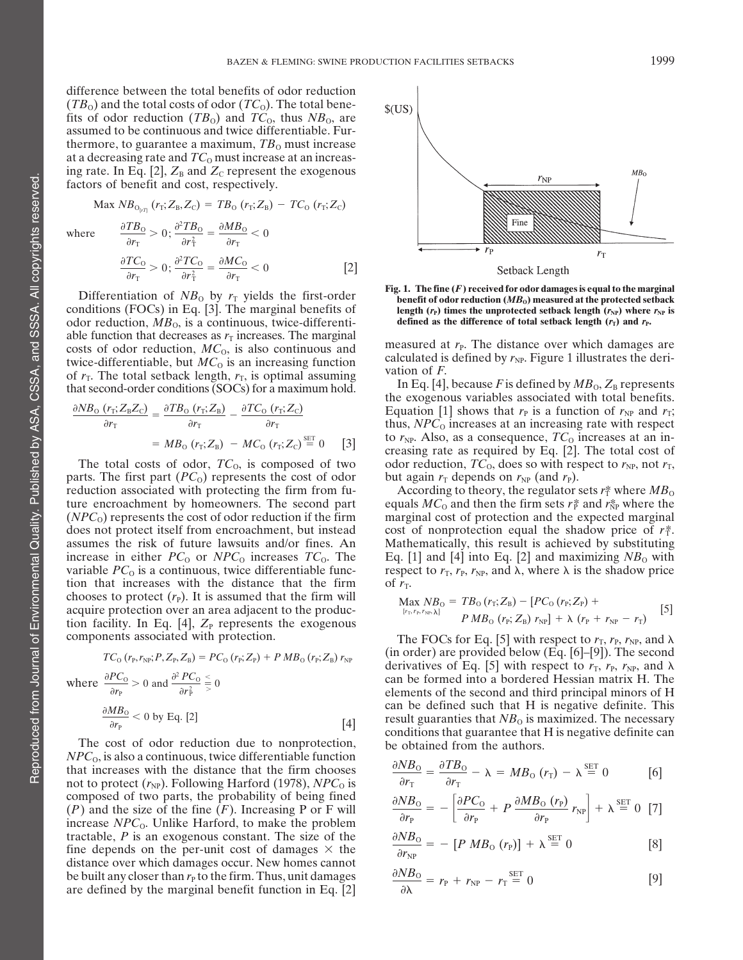difference between the total benefits of odor reduction  $(TB_0)$  and the total costs of odor  $(TC_0)$ . The total benefits of odor reduction  $(TB_0)$  and  $TC_0$ , thus  $NB_0$ , are assumed to be continuous and twice differentiable. Furthermore, to guarantee a maximum,  $TB<sub>0</sub>$  must increase at a decreasing rate and  $TC_0$  must increase at an increasing rate. In Eq. [2],  $Z_B$  and  $Z_C$  represent the exogenous factors of benefit and cost, respectively.

$$
\text{Max } NB_{O_{[rT]}}(r_{T}; Z_{B}, Z_{C}) = TB_{O}(r_{T}; Z_{B}) - TC_{O}(r_{T}; Z_{C})
$$

where 
$$
\frac{\partial TB_{\text{o}}}{\partial r_{\text{T}}} > 0; \frac{\partial^2 TB_{\text{o}}}{\partial r_{\text{T}}} = \frac{\partial MB_{\text{o}}}{\partial r_{\text{T}}} < 0
$$

$$
\frac{\partial TC_{\text{o}}}{\partial r_{\text{T}}} > 0; \frac{\partial^2 TC_{\text{o}}}{\partial r_{\text{T}}} = \frac{\partial MC_{\text{o}}}{\partial r_{\text{T}}} < 0
$$
[2]

conditions (FOCs) in Eq. [3]. The marginal benefits of odor reduction,  $MB<sub>0</sub>$ , is a continuous, twice-differenti-<br>defined as the difference of total setback length  $(r<sub>T</sub>)$  and  $r<sub>F</sub>$ . able function that decreases as  $r_T$  increases. The marginal<br>costs of odor reduction,  $MC_0$ , is also continuous and<br>twice-differentiable, but  $MC_0$  is an increasing function<br>of  $r_T$ . The total setback length,  $r_T$ , is opt

$$
\frac{\partial NB_{\rm O} (r_{\rm T}; Z_{\rm B} Z_{\rm C})}{\partial r_{\rm T}} = \frac{\partial TB_{\rm O} (r_{\rm T}; Z_{\rm B})}{\partial r_{\rm T}} - \frac{\partial TC_{\rm O} (r_{\rm T}; Z_{\rm C})}{\partial r_{\rm T}}
$$

$$
= M B_{\rm O} (r_{\rm T}; Z_{\rm B}) - M C_{\rm O} (r_{\rm T}; Z_{\rm C}) \stackrel{\text{SET}}{=} 0 \qquad [3]
$$

parts. The first part (*PC*<sub>O</sub>) represents the cost of odor but again  $r_T$  depends on  $r_{NP}$  (and  $r_P$ ).<br>reduction associated with protecting the firm from fu-<br>According to theory, the regulator sets  $r_T^*$  where  $MB_0$ reduction associated with protecting the firm from fution that increases with the distance that the firm of  $r<sub>T</sub>$ . chooses to protect  $(r_P)$ . It is assumed that the firm will  $N$ acquire protection over an area adjacent to the production facility. In Eq. [4],  $Z_P$  represents the exogenous components associated with protection.

$$
TC_{\text{O}}\left(r_{\text{P}}, r_{\text{NP}}; P, Z_{\text{P}}, Z_{\text{B}}\right) = PC_{\text{O}}\left(r_{\text{P}}; Z_{\text{P}}\right) + P\ M B_{\text{O}}\left(r_{\text{P}}; Z_{\text{B}}\right) r_{\text{NP}}
$$
\n
$$
\text{where } \frac{\partial PC_{\text{O}}}{\partial r_{\text{P}}} > 0 \text{ and } \frac{\partial^2 PC_{\text{O}}}{\partial r_{\text{P}}^2} \leq 0
$$
\n
$$
\frac{\partial MB_{\text{O}}}{\partial r_{\text{P}}} < 0 \text{ by Eq. [2]}
$$
\n
$$
\tag{4}
$$

 $NPC<sub>0</sub>$ , is also a continuous, twice differentiable function that increases with the distance that the firm chooses not to protect  $(r_{NP})$ . Following Harford (1978), *NPC*<sub>0</sub> is composed of two parts, the probability of being fined  $(P)$  and the size of the fine  $(F)$ . Increasing P or F will increase *NPC*<sub>0</sub>. Unlike Harford, to make the problem tractable, *P* is an exogenous constant. The size of the fine depends on the per-unit cost of damages  $\times$  the distance over which damages occur. New homes cannot be built any closer than  $r_P$  to the firm. Thus, unit damages are defined by the marginal benefit function in Eq.  $[2]$ 





the exogenous variables associated with total benefits.<br>Equation [1] shows that  $r<sub>P</sub>$  is a function of  $r<sub>NP</sub>$  and  $r<sub>T</sub>$ ; *r*thus, *NPC*<sup>o</sup> increases at an increasing rate with respect to  $r_{NP}$ . Also, as a consequence,  $TC_0$  increases at an increasing rate as required by Eq.  $[2]$ . The total cost of The total costs of odor,  $TC_0$ , is composed of two odor reduction,  $TC_0$ , does so with respect to  $r_{\rm NP}$ , not  $r_{\rm T}$ ,

ture encroachment by homeowners. The second part equals  $MC_0$  and then the firm sets  $r^*$  and  $r^*_{\text{NP}}$  where the  $(NPC<sub>0</sub>)$  represents the cost of odor reduction if the firm marginal cost of protection and the expected marginal does not protect itself from encroachment, but instead cost of nonprotection equal the shadow price of  $r^*$ . assumes the risk of future lawsuits and/or fines. An Mathematically, this result is achieved by substituting increase in either  $PC_0$  or  $NPC_0$  increases  $TC_0$ . The Eq. [1] and [4] into Eq. [2] and maximizing  $NB_0$  with variable  $PC_0$  is a continuous, twice differentiable func- respect to  $r_T$ ,  $r_{\rm P}$ ,  $r_{\rm NP}$ , and  $\lambda$ , where  $\lambda$  is the shadow price

$$
\text{Max } NB_{\text{O}} = TB_{\text{O}}(r_{\text{T}}; Z_{\text{B}}) - [PC_{\text{O}}(r_{\text{P}}; Z_{\text{P}}) +\frac{[r_{\text{T}}, r_{\text{P}}, r_{\text{NP}}]}{P \text{ MB}_{\text{O}}(r_{\text{P}}; Z_{\text{B}}) \text{ r}_{\text{NP}}] + \lambda (r_{\text{P}} + r_{\text{NP}} - r_{\text{T}})} \tag{5}
$$

The FOCs for Eq. [5] with respect to  $r_T$ ,  $r_P$ ,  $r_{NP}$ , and  $\lambda$ (in order) are provided below (Eq. [6]–[9]). The second *derivatives of Eq.* [5] with respect to  $r_T$ ,  $r_P$ ,  $r_{NP}$ , and  $\lambda$ where  $\frac{\partial PC_0}{\partial P} > 0$  and  $\frac{\partial^2 PC_0}{\partial P} \leq 0$  can be formed into a bordered Hessian matrix H. The elements of the second and third principal minors of H can be defined such that H is negative definite. This result guaranties that  $NB<sub>O</sub>$  is maximized. The necessary The cost of odor reduction due to nonprotection, be obtained from the authors.

$$
\frac{\partial NB_{\rm O}}{\partial r_{\rm T}} = \frac{\partial TB_{\rm O}}{\partial r_{\rm T}} - \lambda = MB_{\rm O} (r_{\rm T}) - \lambda \stackrel{\text{SET}}{=} 0
$$
 [6]

$$
\frac{\partial NB_{\rm O}}{\partial r_{\rm P}} = -\left[\frac{\partial PC_{\rm O}}{\partial r_{\rm P}} + P \frac{\partial MB_{\rm O} (r_{\rm P})}{\partial r_{\rm P}} r_{\rm NP}\right] + \lambda^{\rm SET} 0 \quad [7]
$$

$$
\frac{\partial NB_{\text{O}}}{\partial r_{\text{NP}}} = -\left[P \; MB_{\text{O}} \left(r_{\text{P}}\right)\right] + \lambda \stackrel{\text{SET}}{=} 0 \tag{8}
$$

$$
\frac{\partial NB_0}{\partial \lambda} = r_{\rm P} + r_{\rm NP} - r_{\rm T} \stackrel{\text{SET}}{=} 0
$$
 [9]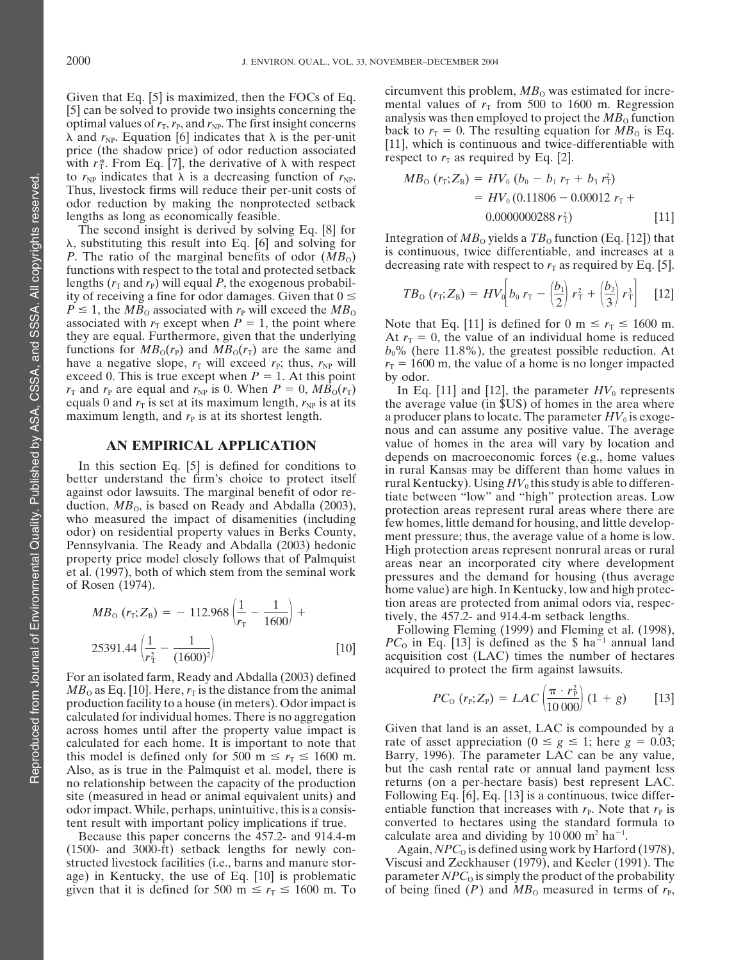Given that Eq. [5] is maximized, then the FOCs of Eq.<br>
[5] can be solved to provide two insights concerning the<br>
optimal values of  $r_T$ ,  $r_T$ , and  $r_{NT}$ ,  $r_{B}$ , and  $r_{NT}$ . The first insight concerns<br>  $\lambda$  and  $r_{NT}$ . E to  $r_{NP}$  indicates that  $\lambda$  is a decreasing function of  $r_{NP}$ . Thus, livestock firms will reduce their per-unit costs of odor reduction by making the nonprotected setback lengths as long as economically feasible.

The second insight is derived by solving Eq. [8] for<br>  $\lambda$ , substituting this result into Eq. [6] and solving for<br>  $P$ . The ratio of the marginal benefits of odor ( $MB_0$ ) is continuous, twice differentiable, and increases lengths ( $r<sub>T</sub>$  and  $r<sub>P</sub>$ ) will equal *P*, the exogenous probability of receiving a fine for odor damages. Given that  $0 \le$  $P \leq 1$ , the *MB*<sub>O</sub> associated with  $r_{\rm P}$  will exceed the *MB*<sub>O</sub> associated with  $r_T$  except when  $P = 1$ , the point where Note that Eq. [11] is defined for  $0 \text{ m} \le r_T \le 1600 \text{ m}$ .<br>they are equal. Furthermore, given that the underlying At  $r_T = 0$ , the value of an individual home is re exceed 0. This is true except when  $P = 1$ . At this point by odor.<br>  $r_{\text{T}}$  and  $r_{\text{P}}$  are equal and  $r_{\text{NP}}$  is 0. When  $P = 0$ ,  $MB_0(r_{\text{T}})$  In Eq.  $r_{\text{T}}$  and  $r_{\text{P}}$  are equal and  $r_{\text{NP}}$  is 0. When  $P = 0$ ,  $MB_0(r_{\text{T}})$  In Eq. [11] and [12], the parameter  $HV_0$  represents equals 0 and  $r_{\text{T}}$  is set at its maximum length,  $r_{\text{NP}}$  is at its the average value

$$
MB_{\text{o}} (r_{\text{T}}; Z_{\text{B}}) = -112.968 \left( \frac{1}{r_{\text{T}}} - \frac{1}{1600} \right) +
$$
  
25391.44  $\left( \frac{1}{r_{\text{T}}^2} - \frac{1}{(1600)^2} \right)$  [10]

For an isolated farm, Ready and Abdalla (2003) defined  $MB<sub>O</sub>$  as Eq. [10]. Here,  $r<sub>T</sub>$  is the distance from the animal *PC*<sub>O</sub> ( $r<sub>P</sub>$ ;  $Z<sub>P</sub>$ ) = LAC  $\left(\frac{\pi \cdot r_{\rm P}^2}{10,000}\right)$  (1 + *g*) [13] calculated for individual homes. There is no aggregation Also, as is true in the Palmquist et al. model, there is

Because this paper concerns the 457.2- and 914.4-m calculate area and dividing by 10 000 m<sup>2</sup> ha<sup>-1</sup>.<br>500- and 3000-ft) setback lengths for newly con-<br>Again, NPC<sub>0</sub> is defined using work by Harford (1978), (1500- and 3000-ft) setback lengths for newly con-

$$
MB_{\text{o}} (r_{\text{T}}; Z_{\text{B}}) = HV_{\text{o}} (b_{\text{o}} - b_{1} r_{\text{T}} + b_{3} r_{\text{T}}^{2})
$$
  
=  $HV_{\text{o}} (0.11806 - 0.00012 r_{\text{T}} + 0.0000000288 r_{\text{T}}^{2})$  [11]

$$
TB_{\rm O}\left(r_{\rm T};Z_{\rm B}\right) = HV_0\bigg[b_0\ r_{\rm T} - \bigg(\frac{b_1}{2}\bigg)r_{\rm T}^2 + \bigg(\frac{b_3}{3}\bigg)r_{\rm T}^3\bigg] \tag{12}
$$

At  $r_T = 0$ , the value of an individual home is reduced functions for  $MB_0(r_{\rm P})$  and  $MB_0(r_{\rm T})$  are the same and *b*<sub>0</sub>% (here 11.8%), the greatest possible reduction. At have a negative slope,  $r_T$  will exceed  $r_P$ ; thus,  $r_{NP}$  will  $r_T = 1600$  m, the value of a home is no longer impacted

equals 0 and  $r_T$  is set at its maximum length,  $r_{NP}$  is at its the average value (in \$US) of homes in the area where maximum length, and  $r_P$  is at its shortest length. a producer plans to locate. The parameter  $HV_0$  is exogenous and can assume any positive value. The average **AN EMPIRICAL APPLICATION** value of homes in the area will vary by location and depends on macroeconomic forces (e.g., home values In this section Eq. [5] is defined for conditions to<br>better understand the firm's choice to protect itself<br>against odor lawsuits. The marginal benefit of odor re-<br>against odor lawsuits. The marginal benefit of odor re-<br>du tion areas are protected from animal odors via, respectively, the 457.2- and 914.4-m setback lengths.

> Following Fleming (1999) and Fleming et al. (1998),  $PC<sub>o</sub>$  in Eq. [13] is defined as the \$ ha<sup>-1</sup> annual land acquisition cost (LAC) times the number of hectares acquired to protect the firm against lawsuits.

$$
PC_{\rm O} (r_{\rm P}; Z_{\rm P}) = LAC \left( \frac{\pi \cdot r_{\rm P}^2}{10\,000} \right) (1 + g) \qquad [13]
$$

across homes until after the property value impact is Given that land is an asset, LAC is compounded by a calculated for each home. It is important to note that rate of asset appreciation  $(0 \le g \le 1)$ ; here  $g = 0.03$ ; calculated for each home. It is important to note that rate of asset appreciation  $(0 \le g \le 1)$ ; here  $g = 0.03$ ; this model is defined only for 500 m  $\le r_{\rm r} \le 1600$  m. Barry, 1996). The parameter LAC can be any value, this model is defined only for 500 m  $\leq r_{\rm T} \leq 1600$  m. Barry, 1996). The parameter LAC can be any value, Also, as is true in the Palmquist et al. model, there is but the cash rental rate or annual land payment less no relationship between the capacity of the production returns (on a per-hectare basis) best represent LAC. site (measured in head or animal equivalent units) and Following Eq. [6], Eq. [13] is a continuous, twice differodor impact. While, perhaps, unintuitive, this is a consis-<br>tent result with important policy implications if true.<br>converted to hectares using the standard formula to tent result with important policy implications if true. converted to hectares using the standard for Because this paper concerns the 457.2- and 914.4-m calculate area and dividing by 10 000 m<sup>2</sup> ha<sup>-1</sup>.

structed livestock facilities (i.e., barns and manure stor- Viscusi and Zeckhauser (1979), and Keeler (1991). The age) in Kentucky, the use of Eq. [10] is problematic parameter  $NPC_0$  is simply the product of the probability given that it is defined for 500 m  $\leq r_T \leq 1600$  m. To of being fined (*P*) and *MB*<sub>O</sub> measured in terms of  $r_P$ ,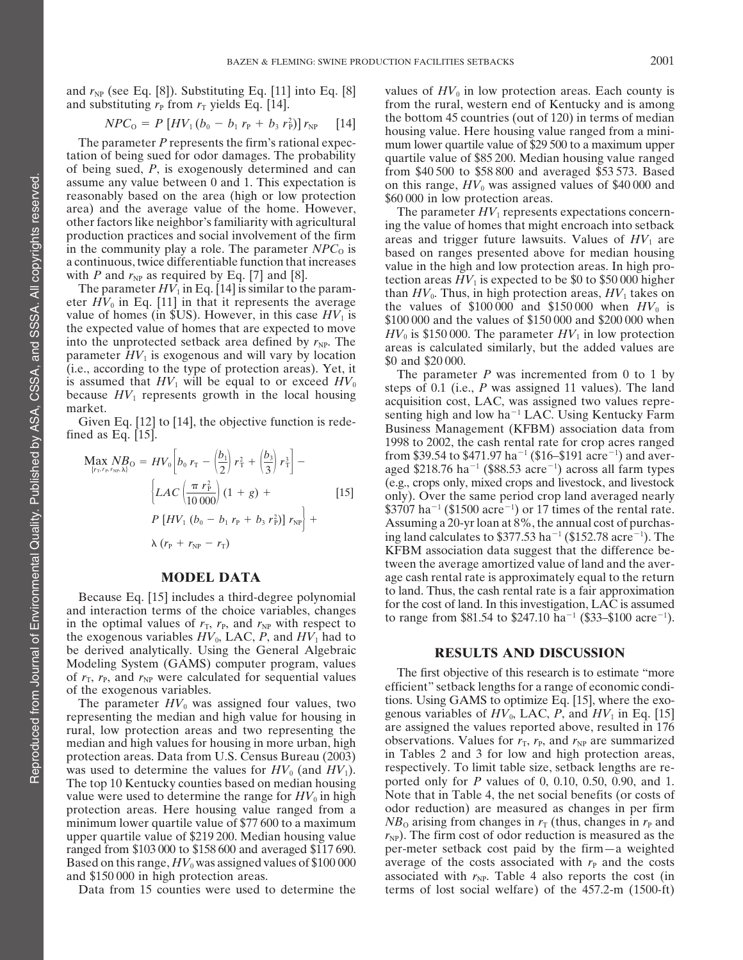and  $r_{NP}$  (see Eq. [8]). Substituting Eq. [11] into Eq. [8] values of  $HV_0$  in low protection areas. Each county is

$$
VPC_0 = P[HV_1(b_0 - b_1 r_{P} + b_3 r_{P}^2)]r_{NP} \quad [14]
$$

 $NPC_0 = P [HV_1 (b_0 - b_1 r_P + b_3 r_P^2)] r_{NP}$  [14] here bottom 45 countries (out of 120) in terms of mediant<br>
The parameter P represents the firm's rational expec-<br>
tation of being sued for odor damages. The probability quartile va

evalue of homes (in \$US). However, in this case  $HV_1$  is \$100 000 and \$150 000 and \$150 000 when  $HV_0$  is \$100 000 and \$150 000 and \$150 000 when  $HV_0$  is \$100 000 and the values of \$150 000 and \$200 000 when the expected

$$
\begin{aligned}\n\text{Max } N B_{\text{O}} &= H V_0 \left[ b_0 \, r_{\text{T}} - \left( \frac{b_1}{2} \right) r_{\text{T}}^2 + \left( \frac{b_3}{3} \right) r_{\text{T}}^3 \right] - \\
& \left\{ L A C \left( \frac{\pi \, r_{\text{P}}^2}{10\,000} \right) (1 + g) + \right. \\
& \left. P \left[ H V_1 \left( b_0 - b_1 \, r_{\text{P}} + b_3 \, r_{\text{P}}^2 \right) \right] r_{\text{NP}} \right\} + \\
& \lambda \left( r_{\text{P}} + r_{\text{NP}} - r_{\text{T}} \right)\n\end{aligned} \tag{15}
$$

in the optimal values of  $r<sub>T</sub>$ ,  $r<sub>P</sub>$ , and  $r<sub>NP</sub>$  with respect to the exogenous variables  $HV_0$ , LAC,  $P$ , and  $HV_1$  had to be derived analytically. Using the General Algebraic **RESULTS AND DISCUSSION** Modeling System (GAMS) computer program, values

was used to determine the values for  $HV_0$  (and  $HV_1$ ). upper quartile value of \$219 200. Median housing value

and substituting  $r_{\rm P}$  from  $r_{\rm T}$  yields Eq. [14]. from the rural, western end of Kentucky and is among the bottom 45 countries (out of 120) in terms of median housing value. Here housing value ranged from a mini-

production practices and social involvement of the firm<br>in the community play a role. The parameter  $NPC_0$  is<br>a continuous, twice differentiable function that increases<br>with P and  $r_{NP}$  as required by Eq. [7] and [8].<br>Th

 $\left[\text{Max } NB_0 = HV_0 \middle| b_0 r_T - \left(\frac{b_1}{2}\right) r_T^2 + \left(\frac{b_3}{3}\right) r_T^3 \right] - \qquad \text{from $39.54$ to $471.97$ ha<sup>-1</sup> ($16-$191 acre<sup>-1</sup>) and aver-  
aged $218.76 ha<sup>-1</sup> ($88.53 acre<sup>-1</sup>) across all farm types$  $\frac{35.54 \text{ to } 471.57 \text{ ha}}{218.76 \text{ ha}^{-1} (1.888.53 \text{ acre}^{-1}) \text{ across all farm types}}$  $\left\{ LAC \left( \frac{\pi r_{\rm P}^2}{10,000} \right) (1 + g) + \right.$  [15] (e.g., crops only, mixed crops and livestock, and livestock  $\right\}$  only). Over the same period crop land averaged nearly  $\left\{ P \left[ HV_1 \left( b_0 - b_1 \, r_P + b_3 \, r_P^2 \right) \right] r_{NP} \right\} + \left\{ P \left[ HV_1 \left( b_0 - b_1 \, r_P + b_3 \, r_P^2 \right) \right] r_{NP} \right\}$  Assuming a 20-yr loan at 8%, the annual cost of purchas- $\lambda (r_{P} + r_{NP} - r_{T})$  ing land calculates to \$377.53 ha<sup>-1</sup> (\$152.78 acre<sup>-1</sup>). The *VERM* essention data success that the difference has *KFBM association data suggest that the difference be*tween the average amortized value of land and the aver-**MODEL DATA** age cash rental rate is approximately equal to the return Because Eq. [15] includes a third-degree polynomial to land. Thus, the cash rental rate is a fair approximation<br>and interaction terms of the choice variables, changes for the cost of land. In this investigation, LAC is as

of  $r_T$ ,  $r_P$ , and  $r_{NP}$  were calculated for sequential values<br>of the exogenous variables.<br>The parameter  $HV_0$  was assigned four values two<br>tions. Using GAMS to optimize Eq. [15], where the exo-The parameter  $HV_0$  was assigned four values, two<br>representing the median and high value for housing in<br>rural low protection areas and two representing the are assigned the values reported above, resulted in 176 rural, low protection areas and two representing the are assigned the values reported above, resulted in  $\Gamma/6$ <br>median and high values for housing in more urban, high observations. Values for  $r_T$ ,  $r_P$ , and  $r_{NP}$  are su median and high values for housing in more urban, high observations. Values for  $r_T$ ,  $r_P$ , and  $r_{NP}$  are summarized<br>protection areas. Data from U.S. Census Bureau (2003) in Tables 2 and 3 for low and high protection area protection areas. Data from U.S. Census Bureau (2003) in Tables 2 and 3 for low and high protection areas,<br>was used to determine the values for  $HV_0$  (and  $HV_1$ ) respectively. To limit table size, setback lengths are re-The top 10 Kentucky counties based on median housing ported only for *P* values of 0, 0.10, 0.50, 0.90, and 1.<br>value were used to determine the range for  $HV_0$  in high Note that in Table 4, the net social benefits (or cos value were used to determine the range for  $HV_0$  in high Note that in Table 4, the net social benefits (or costs of protection areas. Here housing value ranged from a odor reduction) are measured as changes in per firm protection areas. Here housing value ranged from a odor reduction) are measured as changes in per firm<br>minimum lower quartile value of \$77 600 to a maximum  $NB_0$  arising from changes in  $r<sub>r</sub>$  (thus, changes in  $r<sub>p</sub>$ minimum lower quartile value of \$77 600 to a maximum *NB*<sub>O</sub> arising from changes in  $r_T$  (thus, changes in  $r_P$  and upper quartile value of \$219 200. Median housing value  $r_{NP}$ ). The firm cost of odor reduction is measu ranged from \$103 000 to \$158 600 and averaged \$117 690. per-meter setback cost paid by the firm—a weighted Based on this range,  $HV_0$  was assigned values of \$100 000 average of the costs associated with  $r_P$  and the costs and \$150 000 in high protection areas. associated with  $r_{NP}$ . Table 4 also reports the cost (in Data from 15 counties were used to determine the terms of lost social welfare) of the 457.2-m (1500-ft)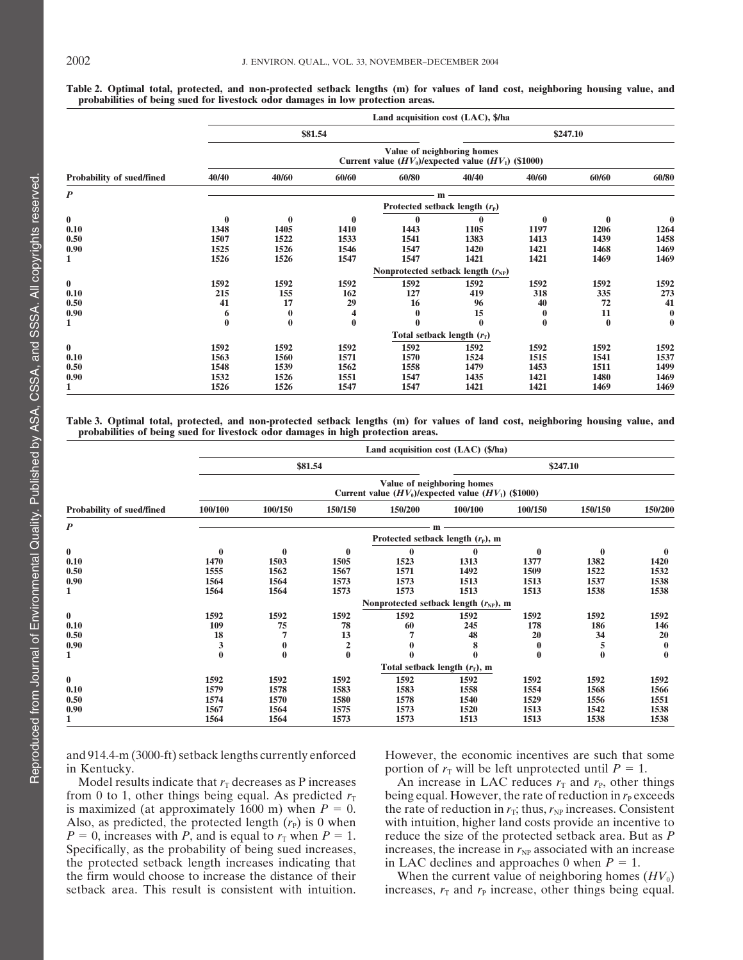|                                  |              | Land acquisition cost (LAC), \$/ha                                                     |              |                                        |              |              |              |          |  |  |
|----------------------------------|--------------|----------------------------------------------------------------------------------------|--------------|----------------------------------------|--------------|--------------|--------------|----------|--|--|
| <b>Probability of sued/fined</b> |              |                                                                                        | \$81.54      |                                        |              |              | \$247.10     |          |  |  |
|                                  |              | Value of neighboring homes<br>Current value $(HV_0)$ /expected value $(HV_1)$ (\$1000) |              |                                        |              |              |              |          |  |  |
|                                  | 40/40        | 40/60                                                                                  | 60/60        | 60/80                                  | 40/40        | 40/60        | 60/60        | 60/80    |  |  |
| P                                |              |                                                                                        |              | m                                      |              |              |              |          |  |  |
|                                  |              |                                                                                        |              | Protected setback length $(r_p)$       |              |              |              |          |  |  |
| 0                                | $\bf{0}$     | $\bf{0}$                                                                               | $\mathbf{0}$ | $\mathbf{0}$                           | $\mathbf{0}$ | $\mathbf{0}$ | $\bf{0}$     | $\bf{0}$ |  |  |
| 0.10                             | 1348         | 1405                                                                                   | 1410         | 1443                                   | 1105         | 1197         | 1206         | 1264     |  |  |
| 0.50                             | 1507         | 1522                                                                                   | 1533         | 1541                                   | 1383         | 1413         | 1439         | 1458     |  |  |
| 0.90                             | 1525         | 1526                                                                                   | 1546         | 1547                                   | 1420         | 1421         | 1468         | 1469     |  |  |
|                                  | 1526         | 1526                                                                                   | 1547         | 1547                                   | 1421         | 1421         | 1469         | 1469     |  |  |
|                                  |              |                                                                                        |              | Nonprotected setback length $(r_{NP})$ |              |              |              |          |  |  |
| 0                                | 1592         | 1592                                                                                   | 1592         | 1592                                   | 1592         | 1592         | 1592         | 1592     |  |  |
| 0.10                             | 215          | 155                                                                                    | 162          | 127                                    | 419          | 318          | 335          | 273      |  |  |
| 0.50                             | 41           | 17                                                                                     | 29           | 16                                     | 96           | 40           | 72           | 41       |  |  |
| 0.90                             | 6            | $\bf{0}$                                                                               | 4            | $\mathbf{0}$                           | 15           | $\bf{0}$     | 11           | $\bf{0}$ |  |  |
|                                  | $\mathbf{0}$ | $\mathbf{0}$                                                                           | $\mathbf{0}$ |                                        | $\mathbf{0}$ | $\mathbf{0}$ | $\mathbf{0}$ | $\bf{0}$ |  |  |
|                                  |              | Total setback length $(rT)$                                                            |              |                                        |              |              |              |          |  |  |
| 0                                | 1592         | 1592                                                                                   | 1592         | 1592                                   | 1592         | 1592         | 1592         | 1592     |  |  |
| 0.10                             | 1563         | 1560                                                                                   | 1571         | 1570                                   | 1524         | 1515         | 1541         | 1537     |  |  |
| 0.50                             | 1548         | 1539                                                                                   | 1562         | 1558                                   | 1479         | 1453         | 1511         | 1499     |  |  |
| 0.90                             | 1532         | 1526                                                                                   | 1551         | 1547                                   | 1435         | 1421         | 1480         | 1469     |  |  |
| 1                                | 1526         | 1526                                                                                   | 1547         | 1547                                   | 1421         | 1421         | 1469         | 1469     |  |  |

**Table 2. Optimal total, protected, and non-protected setback lengths (m) for values of land cost, neighboring housing value, and probabilities of being sued for livestock odor damages in low protection areas.**

**Table 3. Optimal total, protected, and non-protected setback lengths (m) for values of land cost, neighboring housing value, and probabilities of being sued for livestock odor damages in high protection areas.**

|                                  |                                                                                        | Land acquisition cost (LAC) (\$/ha) |                  |                                            |                                 |              |              |              |  |
|----------------------------------|----------------------------------------------------------------------------------------|-------------------------------------|------------------|--------------------------------------------|---------------------------------|--------------|--------------|--------------|--|
| <b>Probability of sued/fined</b> |                                                                                        |                                     | \$81.54          | \$247.10                                   |                                 |              |              |              |  |
|                                  | Value of neighboring homes<br>Current value $(HV_0)/$ expected value $(HV_1)$ (\$1000) |                                     |                  |                                            |                                 |              |              |              |  |
|                                  | 100/100                                                                                | 100/150                             | 150/150          | 150/200                                    | 100/100                         | 100/150      | 150/150      | 150/200      |  |
| P                                |                                                                                        |                                     |                  |                                            | m                               |              |              |              |  |
|                                  |                                                                                        |                                     |                  | Protected setback length $(rP)$ , m        |                                 |              |              |              |  |
| 0                                | $\mathbf{0}$                                                                           | $\mathbf{0}$                        | $\mathbf{0}$     | $\mathbf{0}$                               | 0                               | $\mathbf{0}$ | $\mathbf{0}$ | $\mathbf{0}$ |  |
| 0.10                             | 1470                                                                                   | 1503                                | 1505             | 1523                                       | 1313                            | 1377         | 1382         | 1420         |  |
| 0.50                             | 1555                                                                                   | 1562                                | 1567             | 1571                                       | 1492                            | 1509         | 1522         | 1532         |  |
| 0.90                             | 1564                                                                                   | 1564                                | 1573             | 1573                                       | 1513                            | 1513         | 1537         | 1538         |  |
|                                  | 1564                                                                                   | 1564                                | 1573             | 1573                                       | 1513                            | 1513         | 1538         | 1538         |  |
|                                  |                                                                                        |                                     |                  | Nonprotected setback length $(r_{NP})$ , m |                                 |              |              |              |  |
| 0                                | 1592                                                                                   | 1592                                | 1592             | 1592                                       | 1592                            | 1592         | 1592         | 1592         |  |
| 0.10                             | 109                                                                                    | 75                                  | 78               | 60                                         | 245                             | 178          | 186          | 146          |  |
| 0.50                             | 18                                                                                     |                                     | 13               |                                            | 48                              | 20           | 34           | 20           |  |
| 0.90                             | 3                                                                                      | $\bf{0}$                            | $\boldsymbol{2}$ | 0                                          | 8                               | $\bf{0}$     | 5            | $\bf{0}$     |  |
|                                  | $\bf{0}$                                                                               | $\bf{0}$                            | $\bf{0}$         | $\mathbf{0}$                               | $\bf{0}$                        | $\bf{0}$     | $\bf{0}$     | $\bf{0}$     |  |
|                                  |                                                                                        |                                     |                  |                                            | Total setback length $(rT)$ , m |              |              |              |  |
| 0                                | 1592                                                                                   | 1592                                | 1592             | 1592                                       | 1592                            | 1592         | 1592         | 1592         |  |
| 0.10                             | 1579                                                                                   | 1578                                | 1583             | 1583                                       | 1558                            | 1554         | 1568         | 1566         |  |
| 0.50                             | 1574                                                                                   | 1570                                | 1580             | 1578                                       | 1540                            | 1529         | 1556         | 1551         |  |
| 0.90                             | 1567                                                                                   | 1564                                | 1575             | 1573                                       | 1520                            | 1513         | 1542         | 1538         |  |
| 1                                | 1564                                                                                   | 1564                                | 1573             | 1573                                       | 1513                            | 1513         | 1538         | 1538         |  |
|                                  |                                                                                        |                                     |                  |                                            |                                 |              |              |              |  |

and 914.4-m (3000-ft) setback lengths currently enforced However, the economic incentives are such that some in Kentucky. **portion** of  $r<sub>T</sub>$  will be left unprotected until  $P = 1$ .

the protected setback length increases indicating that setback area. This result is consistent with intuition. increases,  $r<sub>T</sub>$  and  $r<sub>P</sub>$  increase, other things being equal.

Model results indicate that  $r<sub>T</sub>$  decreases as P increases An increase in LAC reduces  $r<sub>T</sub>$  and  $r<sub>P</sub>$ , other things from 0 to 1, other things being equal. As predicted  $r_T$  being equal. However, the rate of reduction in  $r_P$  exceeds is maximized (at approximately 1600 m) when  $P = 0$ . the rate of reduction in  $r_T$ ; thus,  $r_{NP}$  increase is maximized (at approximately 1600 m) when  $P = 0$ . the rate of reduction in  $r_T$ ; thus,  $r_{NP}$  increases. Consistent Also, as predicted, the protected length  $(r_P)$  is 0 when with intuition, higher land costs provide an i Also, as predicted, the protected length  $(r_P)$  is 0 when with intuition, higher land costs provide an incentive to  $P = 0$ , increases with P, and is equal to  $r_T$  when  $P = 1$ . reduce the size of the protected setback area.  $P = 0$ , increases with *P*, and is equal to  $r<sub>T</sub>$  when  $P = 1$ . reduce the size of the protected setback area. But as *P* Specifically, as the probability of being sued increases, increases, the increase in  $r<sub>NP</sub>$  increases, the increase in  $r_{NP}$  associated with an increase in LAC declines and approaches 0 when  $P = 1$ .

the firm would choose to increase the distance of their When the current value of neighboring homes  $(HV_0)$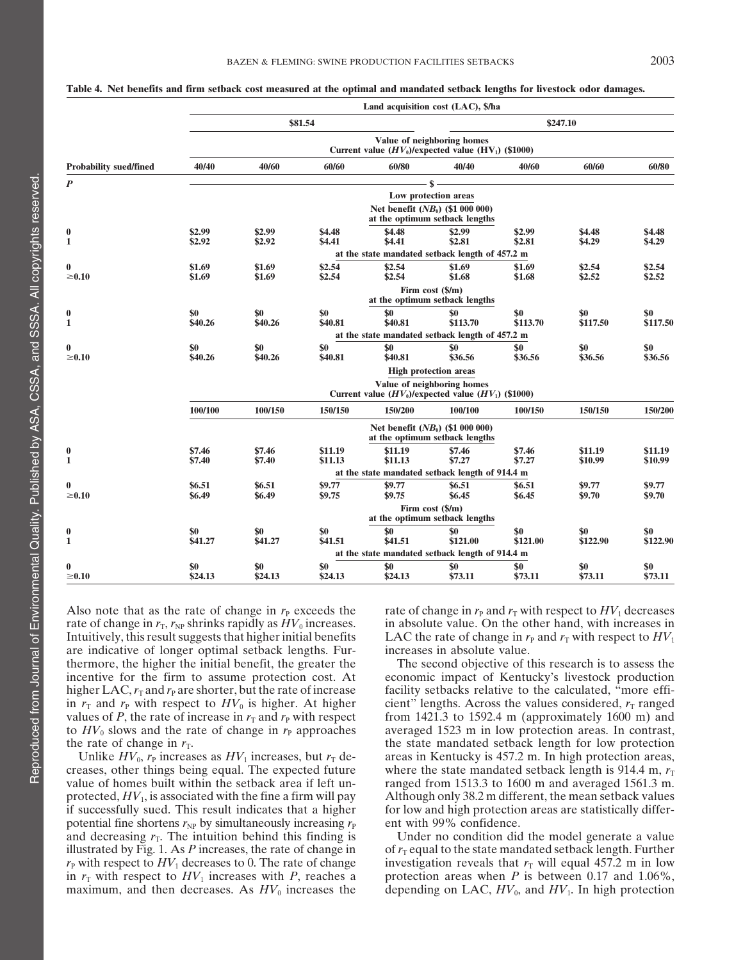|                               | Land acquisition cost (LAC), \$/ha                                                     |                      |                  |                  |                                                                      |                  |                  |                  |  |  |  |  |
|-------------------------------|----------------------------------------------------------------------------------------|----------------------|------------------|------------------|----------------------------------------------------------------------|------------------|------------------|------------------|--|--|--|--|
|                               |                                                                                        |                      | \$81.54          |                  |                                                                      |                  | \$247.10         |                  |  |  |  |  |
|                               | Value of neighboring homes<br>Current value $(HV_0)/$ expected value $(HV_1)$ (\$1000) |                      |                  |                  |                                                                      |                  |                  |                  |  |  |  |  |
| <b>Probability sued/fined</b> | 40/40                                                                                  | 40/60                | 60/60            | 60/80            | 40/40                                                                | 40/60            | 60/60            | 60/80            |  |  |  |  |
| P                             |                                                                                        |                      |                  |                  | $\mathbf S$ -                                                        |                  |                  |                  |  |  |  |  |
|                               |                                                                                        | Low protection areas |                  |                  |                                                                      |                  |                  |                  |  |  |  |  |
|                               |                                                                                        |                      |                  |                  | Net benefit $(NB_0)$ (\$1 000 000)<br>at the optimum setback lengths |                  |                  |                  |  |  |  |  |
| $\bf{0}$                      | \$2.99                                                                                 | \$2.99               | \$4.48           | \$4.48           | \$2.99                                                               | \$2.99           | \$4.48           | \$4.48           |  |  |  |  |
| 1                             | \$2.92                                                                                 | \$2.92               | \$4.41           | \$4.41           | \$2.81                                                               | \$2.81           | \$4.29           | \$4.29           |  |  |  |  |
|                               |                                                                                        |                      |                  |                  | at the state mandated setback length of 457.2 m                      |                  |                  |                  |  |  |  |  |
| $\bf{0}$<br>$\geq 0.10$       | \$1.69<br>\$1.69                                                                       | \$1.69<br>\$1.69     | \$2.54<br>\$2.54 | \$2.54<br>\$2.54 | \$1.69<br>\$1.68                                                     | \$1.69<br>\$1.68 | \$2.54<br>\$2.52 | \$2.54<br>\$2.52 |  |  |  |  |
|                               |                                                                                        |                      |                  |                  | Firm cost (\$/m)<br>at the optimum setback lengths                   |                  |                  |                  |  |  |  |  |
| 0                             | \$0                                                                                    | \$0                  | \$0              | \$0              | \$0                                                                  | \$0              | \$0              | \$0              |  |  |  |  |
| 1                             | \$40.26                                                                                | \$40.26              | \$40.81          | \$40.81          | \$113.70                                                             | \$113.70         | \$117.50         | \$117.50         |  |  |  |  |
|                               |                                                                                        |                      |                  |                  | at the state mandated setback length of 457.2 m                      |                  |                  |                  |  |  |  |  |
| 0                             | \$0                                                                                    | \$0                  | \$0              | \$0              | \$0                                                                  | \$0              | \$0              | \$0              |  |  |  |  |
| $\geq 0.10$                   | \$40.26                                                                                | \$40.26              | \$40.81          | \$40.81          | \$36.56                                                              | \$36.56          | \$36.56          | \$36.56          |  |  |  |  |
|                               | <b>High protection areas</b>                                                           |                      |                  |                  |                                                                      |                  |                  |                  |  |  |  |  |
|                               | Value of neighboring homes<br>Current value $(HV_0)/$ expected value $(HV_1)$ (\$1000) |                      |                  |                  |                                                                      |                  |                  |                  |  |  |  |  |
|                               | 100/100                                                                                | 100/150              | 150/150          | 150/200          | 100/100                                                              | 100/150          | 150/150          | 150/200          |  |  |  |  |
|                               |                                                                                        |                      |                  |                  | Net benefit $(NB_0)$ (\$1 000 000)<br>at the optimum setback lengths |                  |                  |                  |  |  |  |  |
| 0                             | \$7.46                                                                                 | \$7.46               | \$11.19          | \$11.19          | \$7.46                                                               | \$7.46           | \$11.19          | \$11.19          |  |  |  |  |
| 1                             | \$7.40                                                                                 | \$7.40               | \$11.13          | \$11.13          | \$7.27                                                               | \$7.27           | \$10.99          | \$10.99          |  |  |  |  |
|                               |                                                                                        |                      |                  |                  | at the state mandated setback length of 914.4 m                      |                  |                  |                  |  |  |  |  |
| $\bf{0}$<br>$\geq 0.10$       | \$6.51<br>\$6.49                                                                       | \$6.51<br>\$6.49     | \$9.77<br>\$9.75 | \$9.77<br>\$9.75 | \$6.51<br>\$6.45                                                     | \$6.51<br>\$6.45 | \$9.77<br>\$9.70 | \$9.77<br>\$9.70 |  |  |  |  |
|                               |                                                                                        |                      |                  |                  | Firm cost (\$/m)                                                     |                  |                  |                  |  |  |  |  |
|                               |                                                                                        |                      |                  |                  | at the optimum setback lengths                                       |                  |                  |                  |  |  |  |  |
| $\bf{0}$                      | \$0                                                                                    | \$0                  | \$0              | \$0              | \$0                                                                  | \$0              | \$0              | \$0              |  |  |  |  |
| 1                             | \$41.27                                                                                | \$41.27              | \$41.51          | \$41.51          | \$121.00                                                             | \$121.00         | \$122.90         | \$122.90         |  |  |  |  |
|                               |                                                                                        |                      |                  |                  | at the state mandated setback length of 914.4 m                      |                  |                  |                  |  |  |  |  |
| $\bf{0}$                      | \$0                                                                                    | \$0                  | \$0              | \$0              | \$0                                                                  | \$0              | \$0              | \$0              |  |  |  |  |
| $\geq 0.10$                   | \$24.13                                                                                | \$24.13              | \$24.13          | \$24.13          | \$73.11                                                              | \$73.11          | \$73.11          | \$73.11          |  |  |  |  |

**Table 4. Net benefits and firm setback cost measured at the optimal and mandated setback lengths for livestock odor damages.**

are indicative of longer optimal setback lengths. Fur-<br>thermore, the higher the initial benefit, the greater the The second objective of this research is to assess the thermore, the higher the initial benefit, the greater the values of *P*, the rate of increase in  $r<sub>T</sub>$  and  $r<sub>P</sub>$  with respect

potential fine shortens  $r_{NP}$  by simultaneously increasing  $r_P$  ent with 99% confidence.<br>and decreasing  $r_T$ . The intuition behind this finding is Under no condition did the model generate a value and decreasing  $r<sub>T</sub>$ . The intuition behind this finding is illustrated by Fig. 1. As  $P$  increases, the rate of change in

Also note that as the rate of change in  $r_P$  exceeds the rate of change in  $r_P$  and  $r_T$  with respect to  $HV_1$  decreases rate of change in  $r_T$ ,  $r_{NP}$  shrinks rapidly as  $HV_0$  increases. in absolute value. On the other hand, with increases in Intuitively, this result suggests that higher initial benefits LAC the rate of change in  $r_P$  and LAC the rate of change in  $r_P$  and  $r_T$  with respect to  $HV_1$  increases in absolute value.

incentive for the firm to assume protection cost. At economic impact of Kentucky's livestock production higher LAC,  $r_T$  and  $r_P$  are shorter, but the rate of increase facility setbacks relative to the calculated, "more effi-<br>in  $r_T$  and  $r_P$  with respect to  $HV_0$  is higher. At higher cient" lengths. Across the values consi in  $r<sub>T</sub>$  and  $r<sub>P</sub>$  with respect to  $HV_0$  is higher. At higher cient" lengths. Across the values considered,  $r<sub>T</sub>$  ranged values of *P*, the rate of increase in  $r<sub>T</sub>$  and  $r<sub>P</sub>$  with respect from 1421.3 to  $HV_0$  slows and the rate of change in  $r_P$  approaches averaged 1523 m in low protection areas. In contrast, the rate of change in  $r_T$ . the state mandated setback length for low protection Unlike  $HV_0$ ,  $r_P$  increases as  $HV_1$  increases, but  $r_T$  de-<br>creases, other things being equal. The expected future where the state mandated setback length is 914.4 m,  $r_T$ where the state mandated setback length is 914.4 m,  $r<sub>T</sub>$ value of homes built within the setback area if left un- ranged from 1513.3 to 1600 m and averaged 1561.3 m. protected, *HV*<sub>1</sub>, is associated with the fine a firm will pay Although only 38.2 m different, the mean setback values if successfully sued. This result indicates that a higher for low and high protection areas are statis for low and high protection areas are statistically differ-

of  $r_T$  equal to the state mandated setback length. Further *r*<sub>P</sub> with respect to *HV*<sub>1</sub> decreases to 0. The rate of change investigation reveals that  $r<sub>T</sub>$  will equal 457.2 m in low in  $r<sub>T</sub>$  with respect to *HV*<sub>1</sub> increases with *P*, reaches a protection areas when *P* in  $r_T$  with respect to  $HV_1$  increases with *P*, reaches a protection areas when *P* is between 0.17 and 1.06%, maximum, and then decreases. As  $HV_0$  increases the depending on LAC,  $HV_0$ , and  $HV_1$ . In high protection depending on LAC,  $HV_0$ , and  $HV_1$ . In high protection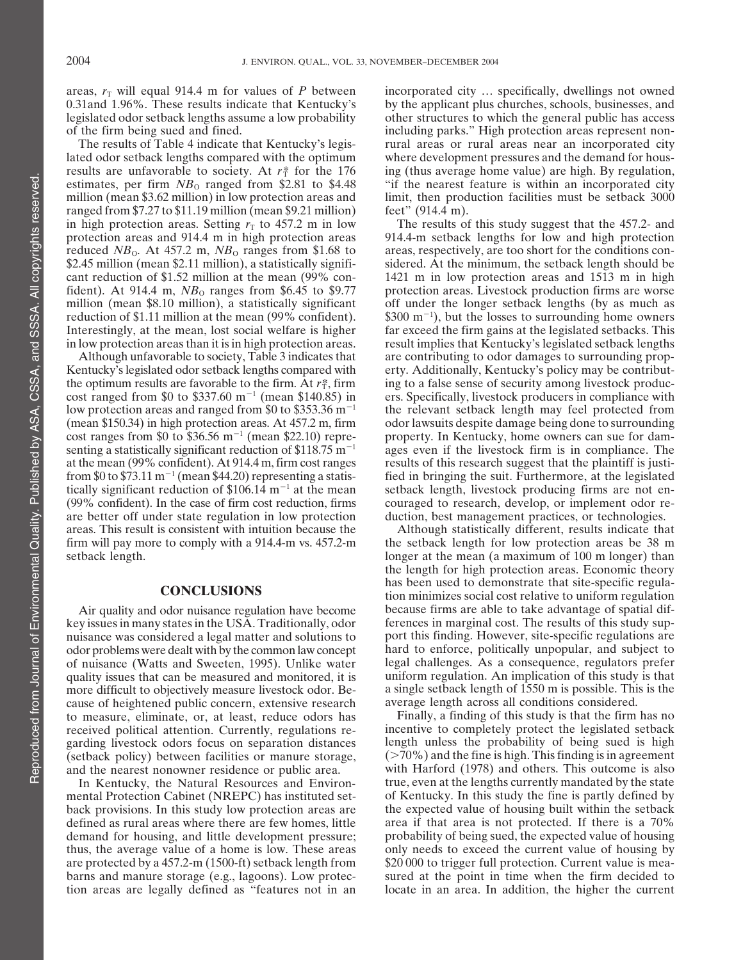areas,  $r<sub>T</sub>$  will equal 914.4 m for values of *P* between incorporated city ... specifically, dwellings not owned

ranged from \$7.27 to \$11.19 million (mean \$9.21 million) feet"  $(914.4 \text{ m})$ . in high protection areas. Setting  $r_T$  to 457.2 m in low The results of this study suggest that the 457.2- and protection areas and 914.4 m in high protection areas 914.4 m setback lengths for low and high protection protection areas and 914.4 m in high protection areas

cost ranged from \$0 to \$337.60 m<sup>-1</sup> (mean \$140.85) in<br>low protection areas and ranged from \$0 to \$353.36 m<sup>-1</sup> are better off under state regulation in low protection areas. This result is consistent with intuition because the Although statistically different, results indicate that

key issues in many states in the USA. Traditionally, odor of nuisance (Watts and Sweeten, 1995). Unlike water cause of heightened public concern, extensive research average length across all conditions considered. garding livestock odors focus on separation distances

defined as rural areas where there are few homes, little demand for housing, and little development pressure; tion areas are legally defined as "features not in an locate in an area. In addition, the higher the current

0.31and 1.96%. These results indicate that Kentucky's by the applicant plus churches, schools, businesses, and legislated odor setback lengths assume a low probability other structures to which the general public has access of the firm being sued and fined.<br>
Including parks." High protection areas represent nonincluding parks." High protection areas represent non-The results of Table 4 indicate that Kentucky's legis- rural areas or rural areas near an incorporated city lated odor setback lengths compared with the optimum where development pressures and the demand for housresults are unfavorable to society. At  $r^*$  for the 176 ing (thus average home value) are high. By regulation, estimates, per firm *NB*<sub>O</sub> ranged from \$2.81 to \$4.48 "if the nearest feature is within an incorporated city million (mean \$3.62 million) in low protection areas and limit, then production facilities must be setback 3000 limit, then production facilities must be setback 3000

reduced  $NB<sub>0</sub>$ . At 457.2 m,  $NB<sub>0</sub>$  ranges from \$1.68 to areas, respectively, are too short for the conditions con-\$2.45 million (mean \$2.11 million), a statistically signifi-<br>sidered. At the minimum, the setback length should be cant reduction of \$1.52 million at the mean (99% con- 1421 m in low protection areas and 1513 m in high fident). At 914.4 m,  $NB<sub>0</sub>$  ranges from \$6.45 to \$9.77 protection areas. Livestock production firms are worse million (mean \$8.10 million), a statistically significant off under the longer setback lengths (by as much as reduction of \$1.11 million at the mean (99% confident).  $\$300 \text{ m}^{-1}$ , but the losses to surrounding home owners Interestingly, at the mean, lost social welfare is higher far exceed the firm gains at the legislated setbacks. This in low protection areas than it is in high protection areas. result implies that Kentucky's legislated setback lengths Although unfavorable to society, Table 3 indicates that are contributing to odor damages to surrounding prop-Kentucky's legislated odor setback lengths compared with erty. Additionally, Kentucky's policy may be contributthe optimum results are favorable to the firm. At  $r^*$ , firm ing to a false sense of security among livestock produc-<br>cost ranged from \$0 to \$337.60 m<sup>-1</sup> (mean \$140.85) in ers. Specifically, livestock producers in compl the relevant setback length may feel protected from (mean \$150.34) in high protection areas. At 457.2 m, firm odor lawsuits despite damage being done to surrounding cost ranges from \$0 to \$36.56 m<sup>-1</sup> (mean \$22.10) repre- property. In Kentucky, home owners can sue for damsenting a statistically significant reduction of \$118.75 m<sup>-1</sup> ages even if the livestock firm is in compliance. The at the mean (99% confident). At 914.4 m, firm cost ranges results of this research suggest that the plaintiff is justifrom \$0 to \$73.11 m<sup>-1</sup> (mean \$44.20) representing a statis-<br>fied in bringing the suit. Furthermore, at the legislated tically significant reduction of \$106.14  $m^{-1}$  at the mean setback length, livestock producing firms are not en-(99% confident). In the case of firm cost reduction, firms couraged to research, develop, or implement odor re-<br>are better off under state regulation in low protection duction, best management practices, or technologies.

firm will pay more to comply with a 914.4-m vs. 457.2-m the setback length for low protection areas be 38 m setback length. longer at the mean (a maximum of 100 m longer) than the length for high protection areas. Economic theory has been used to demonstrate that site-specific regula-**CONCLUSIONS** tion minimizes social cost relative to uniform regulation Air quality and odor nuisance regulation have become because firms are able to take advantage of spatial dif-<br>v issues in many states in the USA. Traditionally, odor ferences in marginal cost. The results of this study sup nuisance was considered a legal matter and solutions to port this finding. However, site-specific regulations are odor problems were dealt with by the common law concept hard to enforce, politically unpopular, and subject odor problems were dealt with by the common law concept hard to enforce, politically unpopular, and subject to<br>of nuisance (Watts and Sweeten, 1995). Unlike water legal challenges. As a consequence, regulators prefer quality issues that can be measured and monitored, it is uniform regulation. An implication of this study is that more difficult to objectively measure livestock odor. Be- a single setback length of 1550 m is possible. This is the

to measure, eliminate, or, at least, reduce odors has Finally, a finding of this study is that the firm has no<br>received political attention. Currently, regulations re-<br>incentive to completely protect the legislated setback received political attention. Currently, regulations re-<br>garding livestock odors focus on separation distances length unless the probability of being sued is high (setback policy) between facilities or manure storage,  $(270\%)$  and the fine is high. This finding is in agreement and the nearest nonowner residence or public area. with Harford (1978) and others. This outcome is also In Kentucky, the Natural Resources and Environ- true, even at the lengths currently mandated by the state mental Protection Cabinet (NREPC) has instituted set- of Kentucky. In this study the fine is partly defined by back provisions. In this study low protection areas are the expected value of housing built within the setback defined as rural areas where there are few homes, little area if that area is not protected. If there is a 70% probability of being sued, the expected value of housing thus, the average value of a home is low. These areas only needs to exceed the current value of housing by are protected by a 457.2-m (1500-ft) setback length from \$20 000 to trigger full protection. Current value is meabarns and manure storage (e.g., lagoons). Low protec- sured at the point in time when the firm decided to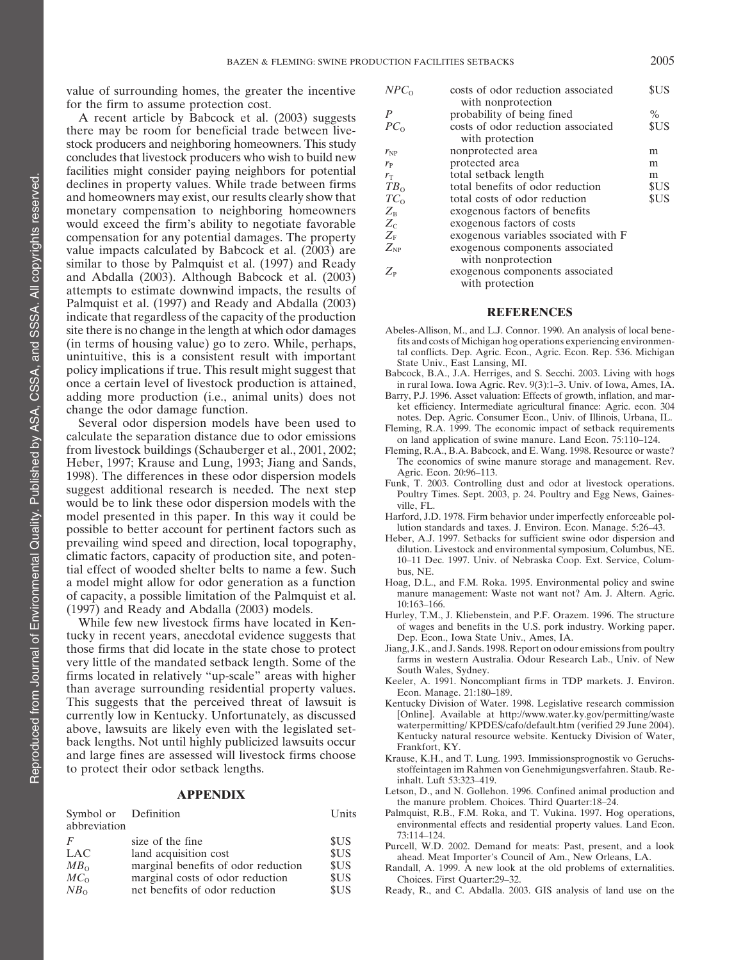A recent article by Babcock et al. (2003) suggests and homeowners may exist, our results clearly show that monetary compensation to neighboring homeowners would exceed the firm's ability to negotiate favorable compensation for any potential damages. The property value impacts calculated by Babcock et al. (2003) are<br>
similar to those by Palmquist et al. (1997) and Ready<br>
and Abdalla (2003). Although Babcock et al. (2003)<br>
attempts to estimate downwind impacts, the results of<br>
with Palmquist et al. (1997) and Ready and Abdalla (2003) **REFERENCES** indicate that regardless of the capacity of the production site there is no change in the length at which odor damages Abeles-Allison, M., and L.J. Connor. 1990. An analysis of local bene-<br>(in terms of housing value) go to zero. While perhans fits and costs of Michigan hog operati (in terms of housing value) go to zero. While, perhaps,<br>
unintuitive, this is a consistent result with important<br>
policy implications if true. This result might suggest that<br>
once a certain level of livestock production is

Several odor dispersion models have been used to<br>calculate the separation distance due to odor emissions<br>calculate the separation distance due to odor emissions on land application of swine manure. Land Econ. 75:110-124. from livestock buildings (Schauberger et al., 2001, 2002; Fleming, R.A., B.A. Babcock, and E. Wang. 1998. Resource or waste?<br>Heber, 1997: Krause and Lung. 1993: Jiang and Sands. The economics of swine manure storage and ma Heber, 1997; Krause and Lung, 1993; Jiang and Sands, The economics of swine manual manufacture storage and management. Rev. 20:96–113. 1998). The differences in these odor dispersion models<br>suggest additional research is needed. The next step<br>would be to link these odor dispersion models with the<br>wille, FL. model presented in this paper. In this way it could be Harford, J.D. 1978. Firm behavior under imperfectly enforceable pol-<br>nossible to better account for pertinent factors such as lution standards and taxes. J. Environ. E possible to better account for pertinent factors such as lution standards and taxes. J. Environ. Econ. Manage. 5:26–43.<br>
Heber, A.J. 1997. Setbacks for sufficient swine odor dispersion and tial effect of wooded shelter belts to name a few. Such bus, NE.<br>a model might allow for odor generation as a function Hoag, D.L., and F.M. Roka. 1995. Environmental policy and swine a model might allow for odor generation as a function Hoag, D.L., and F.M. Roka. 1995. Environmental policy and swine<br>of capacity a possible limitation of the Palmouist et al manure management: Waste not want not? Am. J. A of capacity, a possible limitation of the Palmquist et al. manure manure management:  $(1997)$  and Ready and Abdalla  $(2003)$  models.

tucky in recent years, anecdotal evidence suggests that those firms that did locate in the state chose to protect Jiang, J.K., and J. Sands. 1998. Report on odour emissions from poultry<br>very little of the mandated setback length Some of the farms in western Australia. Odour Res very little of the mandated setback length. Some of the farms in western Australia. Odour Research Lab., Univ. of New<br>firms located in relatively "up-scale" areas with higher Keeler, A. 1991. Noncompliant firms in TDP mark above, lawsuits are likely even with the legislated set-<br>back lengths. Not until highly publicized lawsuits occur<br>and large fines are assessed will livestock firms choose<br>to protect their odor setback lengths.<br>to protect t

| Symbol or Deminition<br>abbreviation |                                     | Umu        |
|--------------------------------------|-------------------------------------|------------|
|                                      |                                     |            |
| F                                    | size of the fine                    | <b>SUS</b> |
| <b>LAC</b>                           | land acquisition cost               | <b>SUS</b> |
| MB <sub>o</sub>                      | marginal benefits of odor reduction | <b>SUS</b> |
| MC <sub>0</sub>                      | marginal costs of odor reduction    | <b>SUS</b> |
| $NB_{\Omega}$                        | net benefits of odor reduction      | <b>SUS</b> |
|                                      |                                     |            |

| value of surrounding homes, the greater the incentive    | $NPC_0$                            | costs of odor reduction associated   | <b>SUS</b> |
|----------------------------------------------------------|------------------------------------|--------------------------------------|------------|
| for the firm to assume protection cost.                  |                                    | with nonprotection                   |            |
| A recent article by Babcock et al. (2003) suggests       |                                    | probability of being fined           | $\%$       |
| there may be room for beneficial trade between live-     | $PC_0$                             | costs of odor reduction associated   | \$US       |
| stock producers and neighboring homeowners. This study   |                                    | with protection                      |            |
| concludes that livestock producers who wish to build new | $r_{\rm NP}$                       | nonprotected area                    | m          |
|                                                          | $r_{\rm P}$                        | protected area                       | m          |
| facilities might consider paying neighbors for potential | $r_{\rm T}$                        | total setback length                 | m          |
| declines in property values. While trade between firms   | TB <sub>0</sub>                    | total benefits of odor reduction     | \$US       |
| and homeowners may exist, our results clearly show that  | $TC_{\Omega}$                      | total costs of odor reduction        | \$US       |
| monetary compensation to neighboring homeowners          | $Z_{\scriptscriptstyle\mathrm{R}}$ | exogenous factors of benefits        |            |
| would exceed the firm's ability to negotiate favorable   | $Z_{\rm C}$                        | exogenous factors of costs           |            |
| compensation for any potential damages. The property     | $Z_{\rm F}$                        | exogenous variables ssociated with F |            |
| value impacts calculated by Babcock et al. (2003) are    | $Z_{\rm NP}$                       | exogenous components associated      |            |
| similar to those by Palmquist et al. (1997) and Ready    |                                    | with nonprotection                   |            |
| and Abdelle (2002). Although Dehoeck at al. (2002)       | $Z_{\rm P}$                        | exogenous components associated      |            |

- 
- in rural Iowa. Iowa Agric. Rev. 9(3):1–3. Univ. of Iowa, Ames, IA.
- adding more production (i.e., animal units) does not<br>change the odor damage function.<br> $\frac{Bary}{R}$ , P.J. 1996. Asset valuation: Effects of growth, inflation, and mar-<br>ket efficiency. Intermediate agricultural finance: Agric.
	-
	-
	-
	-
- prevailing wind speed and direction, local topography,<br>climatic factors, capacity of production site, and poten-<br> $10-11$  Dec. 1997. Univ. of Nebraska Coop. Ext. Service, Colum-
	-
	- While few new livestock firms have located in Ken-<br>While few new livestock firms have located in Ken-<br>cky in recent years, anecdotal evidence suggests that Dep. Econ., Iowa State Univ., Ames, IA.
		-
		-
- Kentucky Division of Water. 1998. Legislative research commission [Online]. Available at http://www.water.ky.gov/permitting/waste currently low in Kentucky. Unfortunately, as discussed [Online]. Available at http://www.water.ky.gov/permitting/waste<br>above lawsuits are likely even with the legislated set-<br>materpermitting/KPDES/cafo/default.htm (verifie
	- stoffeintagen im Rahmen von Genehmigungsverfahren. Staub. Reinhalt. Luft 53:323–419.
	- **APPENDIX** Letson, D., and N. Gollehon. 1996. Confined animal production and the manure problem. Choices. Third Quarter:18–24.
- Symbol or Definition Units Palmquist, R.B., F.M. Roka, and T. Vukina. 1997. Hog operations, environmental effects and residential property values. Land Econ.<br>73:114-124.
	- Purcell, W.D. 2002. Demand for meats: Past, present, and a look ahead. Meat Importer's Council of Am., New Orleans, LA. Randall, A. 1999. A new look at the old problems of externalities.
	- Choices. First Quarter:29–32.
	- Ready, R., and C. Abdalla. 2003. GIS analysis of land use on the